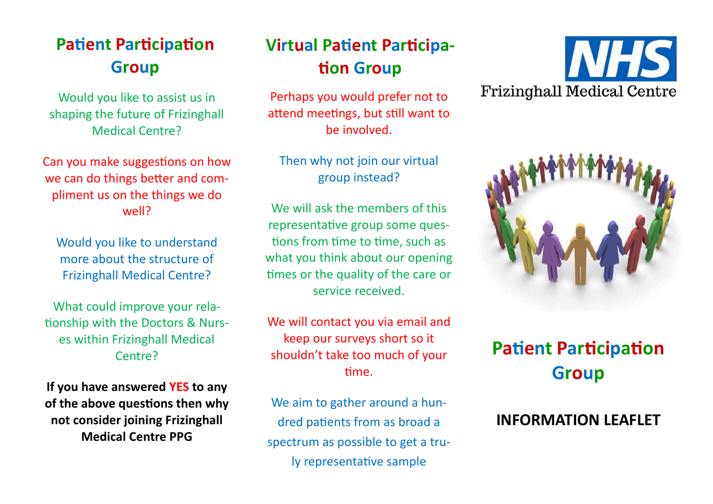## **Patient Participation Group**

Would you like to assist us in shaping the future of Frizinghall Medical Centre?

Can you make suggestions on how we can do things better and compliment us on the things we do well?

Would you like to understand more about the structure of Frizinghall Medical Centre?

What could improve your relationship with the Doctors & Nurses within Frizinghall Medical Centre?

**If you have answered YES to any of the above questions then why not consider joining Frizinghall Medical Centre PPG**

## **Virtual Patient Participation Group**

Perhaps you would prefer not to attend meetings, but still want to be involved.

Then why not join our virtual group instead?

We will ask the members of this representative group some questions from time to time, such as what you think about our opening times or the quality of the care or service received.

We will contact you via email and keep our surveys short so it shouldn't take too much of your time.

We aim to gather around a hundred patients from as broad a spectrum as possible to get a truly representative sample





# **Patient Participation Group**

#### **INFORMATION LEAFLET**